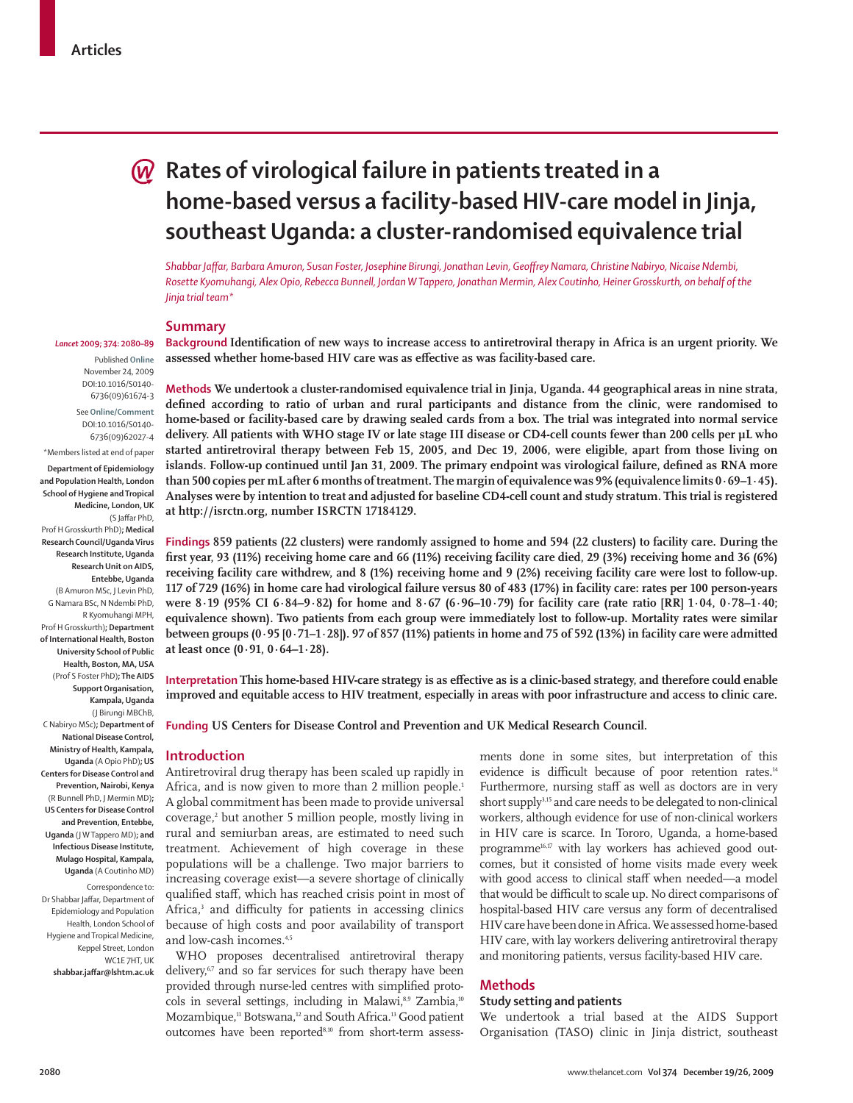# **Rates of virological failure in patients treated in a home-based versus a facility-based HIV-care model in Jinja, southeast Uganda: a cluster-randomised equivalence trial**

*Shabbar Jaff ar, Barbara Amuron, Susan Foster, Josephine Birungi, Jonathan Levin, Geoff rey Namara, Christine Nabiryo, Nicaise Ndembi, Rosette Kyomuhangi, Alex Opio, Rebecca Bunnell, Jordan W Tappero, Jonathan Mermin, Alex Coutinho, Heiner Grosskurth, on behalf of the Jinja trial team\** 

## **Summary**

#### *Lancet* **2009; 374: 2080–89**

Published **Online** November 24, 2009 DOI:10.1016/S0140- 6736(09)61674-3 See **Online/Comment**

DOI:10.1016/S0140- 6736(09)62027-4 \*Members listed at end of paper

**Department of Epidemiology and Population Health, London School of Hygiene and Tropical Medicine, London, UK** (S Jaffar PhD) Prof H Grosskurth PhD)**; Medical Research Council/Uganda Virus Research Institute, Uganda Research Unit on AIDS, Entebbe, Uganda**  (B Amuron MSc, J Levin PhD, G Namara BSc, N Ndembi PhD, R Kyomuhangi MPH, Prof H Grosskurth)**; Department of International Health, Boston University School of Public Health, Boston, MA, USA** (Prof S Foster PhD)**; The AIDS Support Organisation, Kampala, Uganda**  (J Birungi MBChB, C Nabiryo MSc)**; Department of** 

**National Disease Control, Ministry of Health, Kampala, Uganda** (A Opio PhD)**; US Centers for Disease Control and Prevention, Nairobi, Kenya** (R Bunnell PhD, J Mermin MD)**; US Centers for Disease Control and Prevention, Entebbe, Uganda** (J W Tappero MD)**; and Infectious Disease Institute, Mulago Hospital, Kampala,** 

**Uganda** (A Coutinho MD) Correspondence to: Dr Shabbar Jaffar, Department of Epidemiology and Population Health, London School of Hygiene and Tropical Medicine, Keppel Street, London WC1E 7HT, UK **shabbar.jaff ar@lshtm.ac.uk** Background Identification of new ways to increase access to antiretroviral therapy in Africa is an urgent priority. We assessed whether home-based HIV care was as effective as was facility-based care.

**Methods We undertook a cluster-randomised equivalence trial in Jinja, Uganda. 44 geographical areas in nine strata, defined according to ratio of urban and rural participants and distance from the clinic, were randomised to home-based or facility-based care by drawing sealed cards from a box. The trial was integrated into normal service delivery. All patients with WHO stage IV or late stage III disease or CD4-cell counts fewer than 200 cells per μL who started antiretroviral therapy between Feb 15, 2005, and Dec 19, 2006, were eligible, apart from those living on**  islands. Follow-up continued until Jan 31, 2009. The primary endpoint was virological failure, defined as RNA more **than 500 copies per mL after 6 months of treatment. The margin of equivalence was 9% (equivalence limits 0·69–1·45). Analyses were by intention to treat and adjusted for baseline CD4-cell count and study stratum. This trial is registered at http://isrctn.org, number ISRCTN 17184129.**

**Findings 859 patients (22 clusters) were randomly assigned to home and 594 (22 clusters) to facility care. During the first year, 93 (11%) receiving home care and 66 (11%) receiving facility care died, 29 (3%) receiving home and 36 (6%) receiving facility care withdrew, and 8 (1%) receiving home and 9 (2%) receiving facility care were lost to follow-up. 117 of 729 (16%) in home care had virological failure versus 80 of 483 (17%) in facility care: rates per 100 person-years were 8·19 (95% CI 6·84–9·82) for home and 8·67 (6·96–10·79) for facility care (rate ratio [RR] 1·04, 0·78–1·40; equivalence shown). Two patients from each group were immediately lost to follow-up. Mortality rates were similar between groups (0·95 [0·71–1·28]). 97 of 857 (11%) patients in home and 75 of 592 (13%) in facility care were admitted at least once (0·91, 0·64–1·28).** 

**Interpretation This home-based HIV-care strategy is as effective as is a clinic-based strategy, and therefore could enable improved and equitable access to HIV treatment, especially in areas with poor infrastructure and access to clinic care.** 

**Funding US Centers for Disease Control and Prevention and UK Medical Research Council.**

## **Introduction**

Antiretroviral drug therapy has been scaled up rapidly in Africa, and is now given to more than 2 million people.<sup>1</sup> A global commitment has been made to provide universal coverage,<sup>2</sup> but another 5 million people, mostly living in rural and semiurban areas, are estimated to need such treatment. Achievement of high coverage in these populations will be a challenge. Two major barriers to increasing coverage exist—a severe shortage of clinically qualified staff, which has reached crisis point in most of Africa,<sup>3</sup> and difficulty for patients in accessing clinics because of high costs and poor availability of transport and low-cash incomes.4,5

WHO proposes decentralised antiretroviral therapy delivery,<sup>67</sup> and so far services for such therapy have been provided through nurse-led centres with simplified protocols in several settings, including in Malawi,<sup>8,9</sup> Zambia,<sup>10</sup> Mozambique,<sup>11</sup> Botswana,<sup>12</sup> and South Africa.<sup>13</sup> Good patient outcomes have been reported<sup>8,10</sup> from short-term assess-

ments done in some sites, but interpretation of this evidence is difficult because of poor retention rates.<sup>14</sup> Furthermore, nursing staff as well as doctors are in very short supply<sup>3,15</sup> and care needs to be delegated to non-clinical workers, although evidence for use of non-clinical workers in HIV care is scarce. In Tororo, Uganda, a home-based programme<sup>16,17</sup> with lay workers has achieved good outcomes, but it consisted of home visits made every week with good access to clinical staff when needed—a model that would be difficult to scale up. No direct comparisons of hospital-based HIV care versus any form of decentralised HIV care have been done in Africa. We assessed home-based HIV care, with lay workers delivering antiretroviral therapy and monitoring patients, versus facility-based HIV care.

# **Methods**

# **Study setting and patients**

We undertook a trial based at the AIDS Support Organisation (TASO) clinic in Jinja district, southeast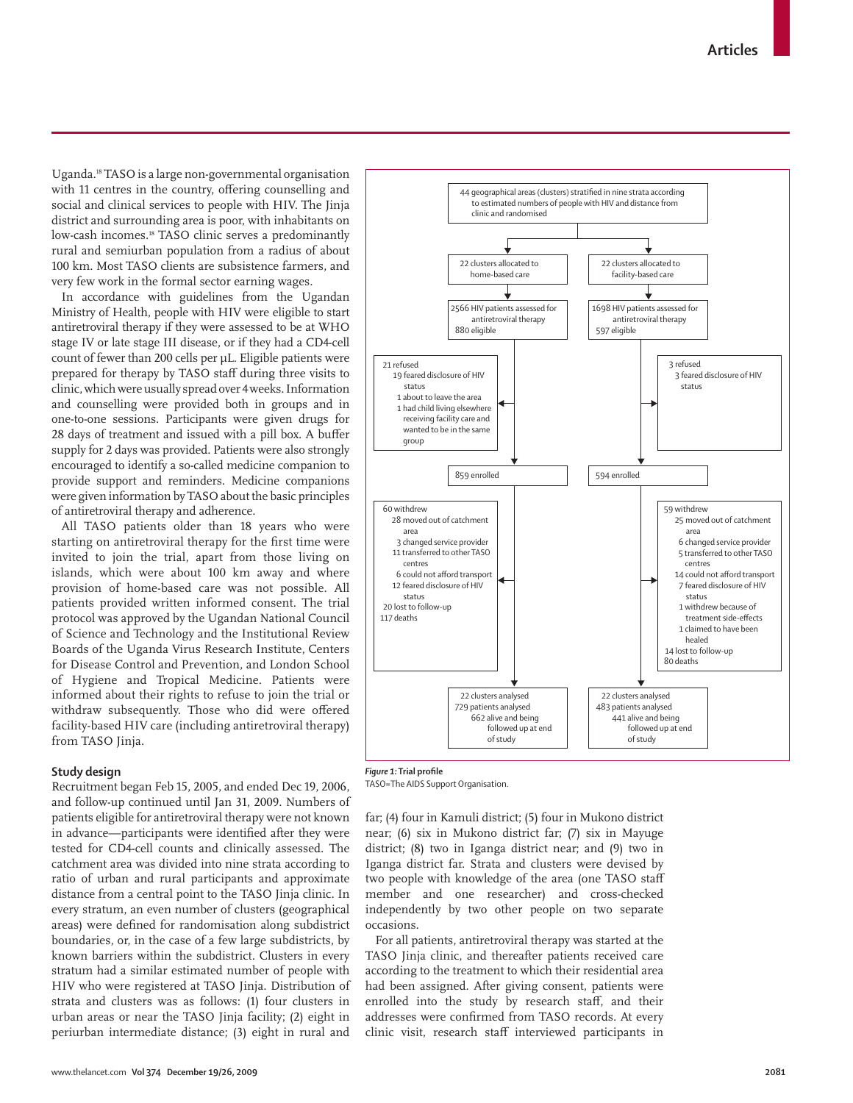www.thelancet.com**Vol 374 December 19/26, 2009 2081**

Uganda.18 TASO is a large non-governmental organisation with 11 centres in the country, offering counselling and social and clinical services to people with HIV. The Jinja district and surrounding area is poor, with inhabitants on low-cash incomes.<sup>18</sup> TASO clinic serves a predominantly rural and semiurban population from a radius of about 100 km. Most TASO clients are subsistence farmers, and very few work in the formal sector earning wages.

In accordance with guidelines from the Ugandan Ministry of Health, people with HIV were eligible to start antiretroviral therapy if they were assessed to be at WHO stage IV or late stage III disease, or if they had a CD4-cell count of fewer than 200 cells per μL. Eligible patients were prepared for therapy by TASO staff during three visits to clinic, which were usually spread over 4 weeks. Information and counselling were provided both in groups and in one-to-one sessions. Participants were given drugs for 28 days of treatment and issued with a pill box. A buffer supply for 2 days was provided. Patients were also strongly encouraged to identify a so-called medicine companion to provide support and reminders. Medicine companions were given information by TASO about the basic principles of antiretroviral therapy and adherence.

All TASO patients older than 18 years who were starting on antiretroviral therapy for the first time were invited to join the trial, apart from those living on islands, which were about 100 km away and where provision of home-based care was not possible. All patients provided written informed consent. The trial protocol was approved by the Ugandan National Council of Science and Technology and the Institutional Review Boards of the Uganda Virus Research Institute, Centers for Disease Control and Prevention, and London School of Hygiene and Tropical Medicine. Patients were informed about their rights to refuse to join the trial or withdraw subsequently. Those who did were offered facility-based HIV care (including antiretroviral therapy) from TASO Jinja.

# **Study design**

Recruitment began Feb 15, 2005, and ended Dec 19, 2006, and follow-up continued until Jan 31, 2009. Numbers of patients eligible for antiretroviral therapy were not known in advance—participants were identified after they were tested for CD4-cell counts and clinically assessed. The catchment area was divided into nine strata according to ratio of urban and rural participants and approximate distance from a central point to the TASO Jinja clinic. In every stratum, an even number of clusters (geographical areas) were defined for randomisation along subdistrict boundaries, or, in the case of a few large subdistricts, by known barriers within the subdistrict. Clusters in every stratum had a similar estimated number of people with HIV who were registered at TASO Jinja. Distribution of strata and clusters was as follows: (1) four clusters in urban areas or near the TASO Jinja facility; (2) eight in periurban intermediate distance; (3) eight in rural and



**Figure 1:** Trial profile TASO=The AIDS Support Organisation.

far; (4) four in Kamuli district; (5) four in Mukono district near; (6) six in Mukono district far; (7) six in Mayuge district; (8) two in Iganga district near; and (9) two in Iganga district far. Strata and clusters were devised by two people with knowledge of the area (one TASO staff member and one researcher) and cross-checked independently by two other people on two separate occasions.

For all patients, antiretroviral therapy was started at the TASO Jinja clinic, and thereafter patients received care according to the treatment to which their residential area had been assigned. After giving consent, patients were enrolled into the study by research staff, and their addresses were confirmed from TASO records. At every clinic visit, research staff interviewed participants in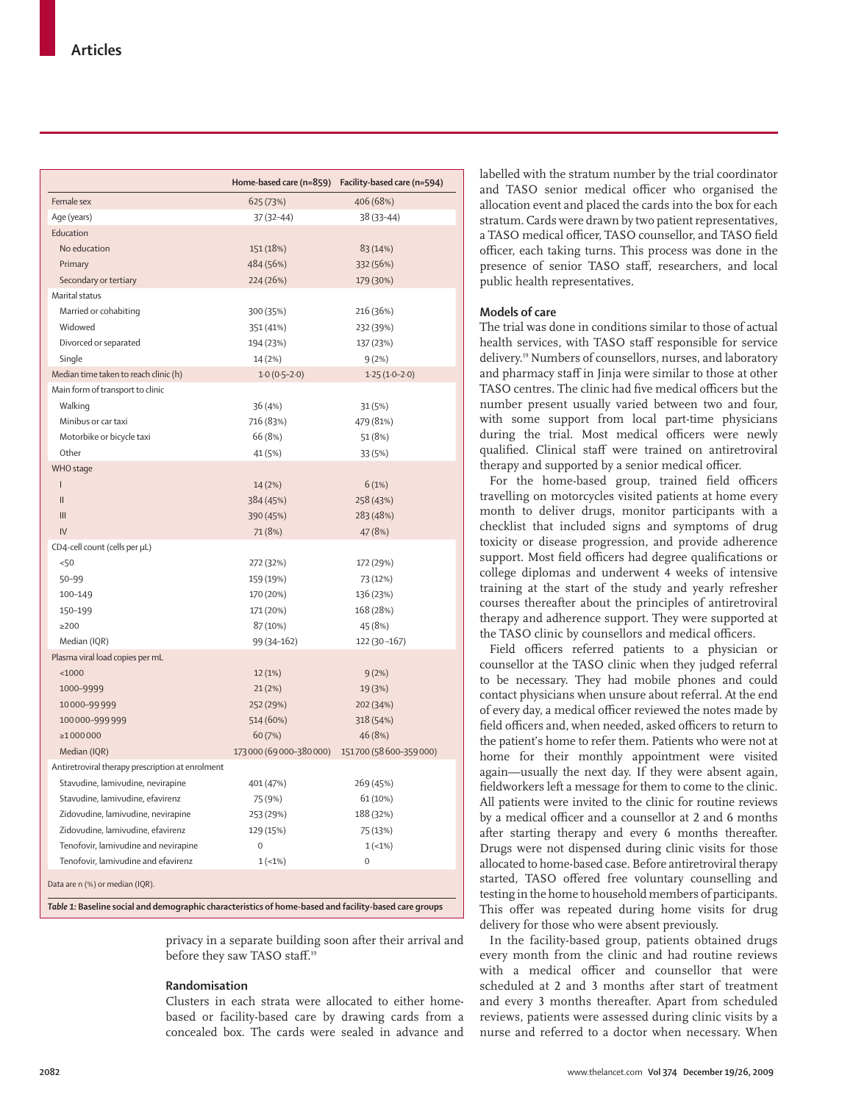|                                                  | Home-based care (n=859)  | Facility-based care (n=594) |  |  |
|--------------------------------------------------|--------------------------|-----------------------------|--|--|
| Female sex                                       | 625 (73%)                | 406 (68%)                   |  |  |
| Age (years)                                      | 37 (32-44)               | 38 (33-44)                  |  |  |
| Education                                        |                          |                             |  |  |
| No education                                     | 151 (18%)                | 83 (14%)                    |  |  |
| Primary                                          | 484 (56%)                | 332 (56%)                   |  |  |
| Secondary or tertiary                            | 224 (26%)                | 179 (30%)                   |  |  |
| Marital status                                   |                          |                             |  |  |
| Married or cohabiting                            | 300 (35%)                | 216 (36%)                   |  |  |
| Widowed                                          | 351 (41%)                | 232 (39%)                   |  |  |
| Divorced or separated                            | 194 (23%)                | 137 (23%)                   |  |  |
| Single                                           | 14 (2%)                  | 9(2%)                       |  |  |
| Median time taken to reach clinic (h)            | $1.0(0.5-2.0)$           | $1.25(1.0-2.0)$             |  |  |
| Main form of transport to clinic                 |                          |                             |  |  |
| Walking                                          | 36 (4%)                  | 31 (5%)                     |  |  |
| Minibus or car taxi                              | 716 (83%)                | 479 (81%)                   |  |  |
| Motorbike or bicycle taxi                        | 66 (8%)                  | 51 (8%)                     |  |  |
| Other                                            | 41 (5%)                  | 33 (5%)                     |  |  |
| <b>WHO</b> stage                                 |                          |                             |  |  |
| L                                                | 14 (2%)                  | 6(1%)                       |  |  |
| Ш                                                | 384 (45%)                | 258 (43%)                   |  |  |
| Ш                                                | 390 (45%)                | 283 (48%)                   |  |  |
| IV                                               | 71 (8%)                  | 47 (8%)                     |  |  |
| CD4-cell count (cells per µL)                    |                          |                             |  |  |
| 50                                               | 272 (32%)                | 172 (29%)                   |  |  |
| 50-99                                            | 159 (19%)                | 73 (12%)                    |  |  |
| 100-149                                          | 170 (20%)                | 136 (23%)                   |  |  |
| 150-199                                          | 171 (20%)                | 168 (28%)                   |  |  |
| $\geq$ 200                                       | 87 (10%)                 | 45 (8%)                     |  |  |
| Median (IQR)                                     | 99 (34-162)              | $122(30-167)$               |  |  |
| Plasma viral load copies per mL                  |                          |                             |  |  |
| < 1000                                           | 12 (1%)                  | 9(2%)                       |  |  |
| 1000-9999                                        | 21(2%)                   | 19 (3%)                     |  |  |
| 10000-99999                                      | 252 (29%)                | 202 (34%)                   |  |  |
| 100000-999999                                    | 514 (60%)                | 318 (54%)                   |  |  |
| $\geq 1000000$                                   | 60 (7%)                  | 46 (8%)                     |  |  |
| Median (IQR)                                     | 173 000 (69 000-380 000) | 151700 (58 600-359 000)     |  |  |
| Antiretroviral therapy prescription at enrolment |                          |                             |  |  |
| Stavudine, lamivudine, nevirapine                | 401 (47%)                | 269 (45%)                   |  |  |
| Stavudine, lamivudine, efavirenz                 | 75 (9%)                  | 61 (10%)                    |  |  |
| Zidovudine, lamivudine, nevirapine               | 253 (29%)                | 188 (32%)                   |  |  |
| Zidovudine, lamivudine, efavirenz                | 129 (15%)                | 75 (13%)                    |  |  |
| Tenofovir, lamivudine and nevirapine             | $\mathbf 0$              | $1(-1%)$                    |  |  |
| Tenofovir, lamivudine and efavirenz              | $1(-1%)$                 | $\mathbf 0$                 |  |  |
| Data are n (%) or median (IQR).                  |                          |                             |  |  |

*Table 1:* **Baseline social and demographic characteristics of home-based and facility-based care groups** 

privacy in a separate building soon after their arrival and before they saw TASO staff.<sup>19</sup>

## **Randomisation**

Clusters in each strata were allocated to either homebased or facility-based care by drawing cards from a concealed box. The cards were sealed in advance and labelled with the stratum number by the trial coordinator and TASO senior medical officer who organised the allocation event and placed the cards into the box for each stratum. Cards were drawn by two patient representatives, a TASO medical officer, TASO counsellor, and TASO field officer, each taking turns. This process was done in the presence of senior TASO staff, researchers, and local public health representatives.

# **Models of care**

The trial was done in conditions similar to those of actual health services, with TASO staff responsible for service delivery.19 Numbers of counsellors, nurses, and laboratory and pharmacy staff in Jinja were similar to those at other TASO centres. The clinic had five medical officers but the number present usually varied between two and four, with some support from local part-time physicians during the trial. Most medical officers were newly qualified. Clinical staff were trained on antiretroviral therapy and supported by a senior medical officer.

For the home-based group, trained field officers travelling on motorcycles visited patients at home every month to deliver drugs, monitor participants with a checklist that included signs and symptoms of drug toxicity or disease progression, and provide adherence support. Most field officers had degree qualifications or college diplomas and underwent 4 weeks of intensive training at the start of the study and yearly refresher courses thereafter about the principles of antiretroviral therapy and adherence support. They were supported at the TASO clinic by counsellors and medical officers.

Field officers referred patients to a physician or counsellor at the TASO clinic when they judged referral to be necessary. They had mobile phones and could contact physicians when unsure about referral. At the end of every day, a medical officer reviewed the notes made by field officers and, when needed, asked officers to return to the patient's home to refer them. Patients who were not at home for their monthly appointment were visited again—usually the next day. If they were absent again, fieldworkers left a message for them to come to the clinic. All patients were invited to the clinic for routine reviews by a medical officer and a counsellor at 2 and 6 months after starting therapy and every 6 months thereafter. Drugs were not dispensed during clinic visits for those allocated to home-based case. Before antiretroviral therapy started, TASO offered free voluntary counselling and testing in the home to household members of participants. This offer was repeated during home visits for drug delivery for those who were absent previously.

In the facility-based group, patients obtained drugs every month from the clinic and had routine reviews with a medical officer and counsellor that were scheduled at 2 and 3 months after start of treatment and every 3 months thereafter. Apart from scheduled reviews, patients were assessed during clinic visits by a nurse and referred to a doctor when necessary. When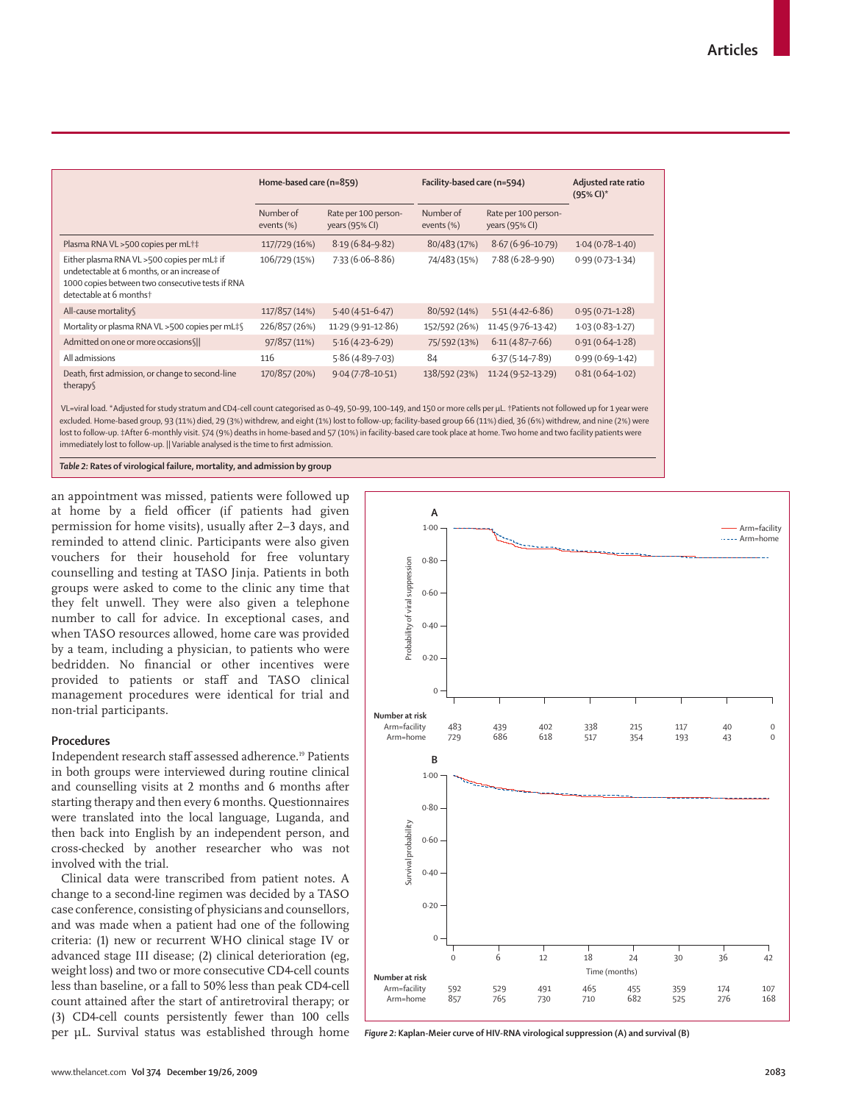|                                                                                                                                                                           | Home-based care (n=859) |                                        | Facility-based care (n=594) |                                        | Adjusted rate ratio<br>$(95%$ CI) <sup>*</sup> |  |
|---------------------------------------------------------------------------------------------------------------------------------------------------------------------------|-------------------------|----------------------------------------|-----------------------------|----------------------------------------|------------------------------------------------|--|
|                                                                                                                                                                           | Number of<br>events (%) | Rate per 100 person-<br>years (95% CI) | Number of<br>events $(\%)$  | Rate per 100 person-<br>years (95% CI) |                                                |  |
| Plasma RNA VL > 500 copies per mL†‡                                                                                                                                       | 117/729 (16%)           | $8.19(6.84 - 9.82)$                    | 80/483 (17%)                | $8.67(6.96 - 10.79)$                   | $1.04(0.78 - 1.40)$                            |  |
| Either plasma RNA VL >500 copies per mL‡ if<br>undetectable at 6 months, or an increase of<br>1000 copies between two consecutive tests if RNA<br>detectable at 6 monthst | 106/729 (15%)           | $7.33(6.06 - 8.86)$                    | 74/483 (15%)                | 7.88 (6.28-9.90)                       | $0.99(0.73 - 1.34)$                            |  |
| All-cause mortality                                                                                                                                                       | 117/857 (14%)           | $5.40(4.51 - 6.47)$                    | 80/592 (14%)                | $5.51(4.42 - 6.86)$                    | $0.95(0.71 - 1.28)$                            |  |
| Mortality or plasma RNA VL > 500 copies per mL‡§                                                                                                                          | 226/857 (26%)           | 11.29 (9.91-12.86)                     | 152/592 (26%)               | $11.45(9.76-13.42)$                    | $1.03(0.83 - 1.27)$                            |  |
| Admitted on one or more occasions II                                                                                                                                      | 97/857 (11%)            | $5.16(4.23-6.29)$                      | 75/592 (13%)                | $6.11(4.87 - 7.66)$                    | $0.91(0.64 - 1.28)$                            |  |
| All admissions                                                                                                                                                            | 116                     | $5.86(4.89 - 7.03)$                    | 84                          | $6.37(5.14 - 7.89)$                    | $0.99(0.69 - 1.42)$                            |  |
| Death, first admission, or change to second-line<br>therapy                                                                                                               | 170/857 (20%)           | $9.04(7.78 - 10.51)$                   | 138/592 (23%)               | $11.24(9.52 - 13.29)$                  | $0.81(0.64 - 1.02)$                            |  |

 VL=viral load. \*Adjusted for study stratum and CD4-cell count categorised as 0–49, 50–99, 100–149, and 150 or more cells per μL. †Patients not followed up for 1 year were excluded. Home-based group, 93 (11%) died, 29 (3%) withdrew, and eight (1%) lost to follow-up; facility-based group 66 (11%) died, 36 (6%) withdrew, and nine (2%) were lost to follow-up. ‡After 6-monthly visit. §74 (9%) deaths in home-based and 57 (10%) in facility-based care took place at home. Two home and two facility patients were immediately lost to follow-up. || Variable analysed is the time to first admission.

*Table 2:* **Rates of virological failure, mortality, and admission by group**

an appointment was missed, patients were followed up at home by a field officer (if patients had given permission for home visits), usually after 2–3 days, and reminded to attend clinic. Participants were also given vouchers for their household for free voluntary counselling and testing at TASO Jinja. Patients in both groups were asked to come to the clinic any time that they felt unwell. They were also given a telephone number to call for advice. In exceptional cases, and when TASO resources allowed, home care was provided by a team, including a physician, to patients who were bedridden. No financial or other incentives were provided to patients or staff and TASO clinical management procedures were identical for trial and non-trial participants.

# **Procedures**

Independent research staff assessed adherence.19 Patients in both groups were interviewed during routine clinical and counselling visits at 2 months and 6 months after starting therapy and then every 6 months. Questionnaires were translated into the local language, Luganda, and then back into English by an independent person, and cross-checked by another researcher who was not involved with the trial.

Clinical data were transcribed from patient notes. A change to a second-line regimen was decided by a TASO case conference, consisting of physicians and counsellors, and was made when a patient had one of the following criteria: (1) new or recurrent WHO clinical stage IV or advanced stage III disease; (2) clinical deterioration (eg, weight loss) and two or more consecutive CD4-cell counts less than baseline, or a fall to 50% less than peak CD4-cell count attained after the start of antiretroviral therapy; or (3) CD4-cell counts persistently fewer than 100 cells per μL. Survival status was established through home



*Figure 2:* **Kaplan-Meier curve of HIV-RNA virological suppression (A) and survival (B)**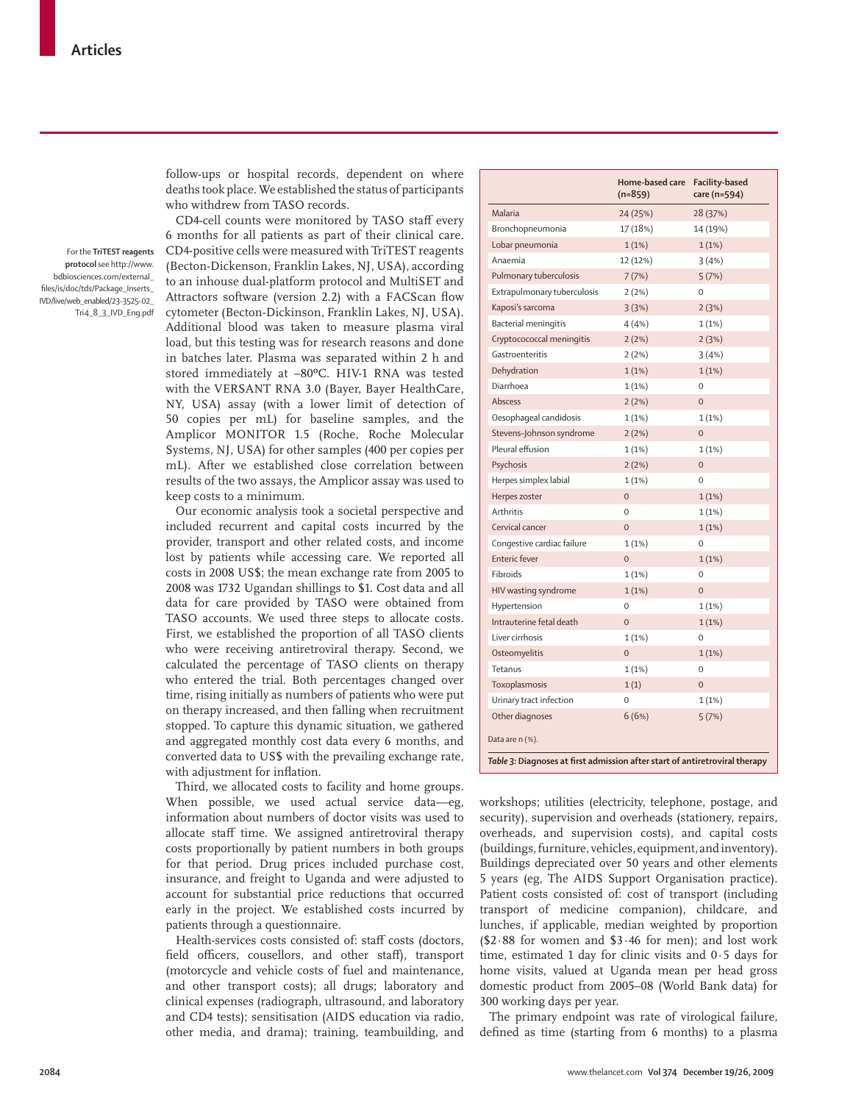For the **TriTEST reagents protocol** see http://www. bdbiosciences.com/external\_ files/is/doc/tds/Package\_Inserts IVD/live/web\_enabled/23-3525-02\_ Tri4\_8\_3\_IVD\_Eng.pdf follow-ups or hospital records, dependent on where deaths took place. We established the status of participants who withdrew from TASO records.

CD4-cell counts were monitored by TASO staff every 6 months for all patients as part of their clinical care. CD4-positive cells were measured with TriTEST reagents (Becton-Dickenson, Franklin Lakes, NJ, USA), according to an inhouse dual-platform protocol and MultiSET and Attractors software (version 2.2) with a FACScan flow cytometer (Becton-Dickinson, Franklin Lakes, NJ, USA). Additional blood was taken to measure plasma viral load, but this testing was for research reasons and done in batches later. Plasma was separated within 2 h and stored immediately at –80ºC. HIV-1 RNA was tested with the VERSANT RNA 3.0 (Bayer, Bayer HealthCare, NY, USA) assay (with a lower limit of detection of 50 copies per mL) for baseline samples, and the Amplicor MONITOR 1.5 (Roche, Roche Molecular Systems, NJ, USA) for other samples (400 per copies per mL). After we established close correlation between results of the two assays, the Amplicor assay was used to keep costs to a minimum.

Our economic analysis took a societal perspective and included recurrent and capital costs incurred by the provider, transport and other related costs, and income lost by patients while accessing care. We reported all costs in 2008 US\$; the mean exchange rate from 2005 to 2008 was 1732 Ugandan shillings to \$1. Cost data and all data for care provided by TASO were obtained from TASO accounts. We used three steps to allocate costs. First, we established the proportion of all TASO clients who were receiving antiretroviral therapy. Second, we calculated the percentage of TASO clients on therapy who entered the trial. Both percentages changed over time, rising initially as numbers of patients who were put on therapy increased, and then falling when recruitment stopped. To capture this dynamic situation, we gathered and aggregated monthly cost data every 6 months, and converted data to US\$ with the prevailing exchange rate, with adjustment for inflation.

Third, we allocated costs to facility and home groups. When possible, we used actual service data—eg, information about numbers of doctor visits was used to allocate staff time. We assigned antiretroviral therapy costs proportionally by patient numbers in both groups for that period. Drug prices included purchase cost, insurance, and freight to Uganda and were adjusted to account for substantial price reductions that occurred early in the project. We established costs incurred by patients through a questionnaire.

Health-services costs consisted of: staff costs (doctors, field officers, cousellors, and other staff), transport (motorcycle and vehicle costs of fuel and maintenance, and other transport costs); all drugs; laboratory and clinical expenses (radiograph, ultrasound, and laboratory and CD4 tests); sensitisation (AIDS education via radio, other media, and drama); training, teambuilding, and

|                                                                             | Home-based care<br>$(n=859)$ | Facility-based<br>care (n=594) |  |  |
|-----------------------------------------------------------------------------|------------------------------|--------------------------------|--|--|
| Malaria                                                                     | 24 (25%)                     | 28 (37%)                       |  |  |
| Bronchopneumonia                                                            | 17 (18%)                     | 14 (19%)                       |  |  |
| Lobar pneumonia                                                             | 1(1%)                        | 1(1%)                          |  |  |
| Anaemia                                                                     | 12 (12%)                     | 3(4%)                          |  |  |
| Pulmonary tuberculosis                                                      | 7(7%)                        | 5(7%)                          |  |  |
| Extrapulmonary tuberculosis                                                 | 2(2%)                        | $\Omega$                       |  |  |
| Kaposi's sarcoma                                                            | 3(3%)                        | 2(3%)                          |  |  |
| <b>Bacterial meningitis</b>                                                 | 4(4%)                        | 1(1%)                          |  |  |
| Cryptocococcal meningitis                                                   | 2(2%)                        | 2(3%)                          |  |  |
| Gastroenteritis                                                             | 2(2%)                        | 3(4%)                          |  |  |
| Dehydration                                                                 | 1(1%)                        | 1(1%)                          |  |  |
| Diarrhoea                                                                   | 1(1%)                        | 0                              |  |  |
| Abscess                                                                     | 2(2%)                        | $\overline{0}$                 |  |  |
| Oesophageal candidosis                                                      | 1(1%)                        | 1(1%)                          |  |  |
| Stevens-Johnson syndrome                                                    | 2(2%)                        | $\overline{0}$                 |  |  |
| Pleural effusion                                                            | 1(1%)                        | 1(1%)                          |  |  |
| Psychosis                                                                   | 2(2%)                        | $\mathbf 0$                    |  |  |
| Herpes simplex labial                                                       | 1(1%)                        | $\Omega$                       |  |  |
| Herpes zoster                                                               | $\overline{0}$               | 1(1%)                          |  |  |
| Arthritis                                                                   | 0                            | 1(1%)                          |  |  |
| Cervical cancer                                                             | $\overline{0}$               | 1(1%)                          |  |  |
| Congestive cardiac failure                                                  | 1(1%)                        | 0                              |  |  |
| Enteric fever                                                               | $\overline{0}$               | 1(1%)                          |  |  |
| Fibroids                                                                    | 1(1%)                        | $\Omega$                       |  |  |
| HIV wasting syndrome                                                        | 1(1%)                        | $\overline{0}$                 |  |  |
| Hypertension                                                                | 0                            | 1(1%)                          |  |  |
| Intrauterine fetal death                                                    | $\overline{0}$               | 1(1%)                          |  |  |
| Liver cirrhosis                                                             | 1(1%)                        | 0                              |  |  |
| Osteomyelitis                                                               | $\mathbf 0$                  | 1(1%)                          |  |  |
| Tetanus                                                                     | 1(1%)                        | 0                              |  |  |
| Toxoplasmosis                                                               | 1(1)                         | $\Omega$                       |  |  |
| Urinary tract infection                                                     | $\Omega$                     | 1(1%)                          |  |  |
| Other diagnoses                                                             | 6(6%)                        | 5(7%)                          |  |  |
| Data are n (%).                                                             |                              |                                |  |  |
| Table 3: Diagnoses at first admission after start of antiretroviral therapy |                              |                                |  |  |

workshops; utilities (electricity, telephone, postage, and security), supervision and overheads (stationery, repairs, overheads, and supervision costs), and capital costs (buildings, furniture, vehicles, equipment, and inventory). Buildings depreciated over 50 years and other elements 5 years (eg, The AIDS Support Organisation practice). Patient costs consisted of: cost of transport (including transport of medicine companion), childcare, and lunches, if applicable, median weighted by proportion (\$2·88 for women and \$3·46 for men); and lost work time, estimated 1 day for clinic visits and 0·5 days for home visits, valued at Uganda mean per head gross domestic product from 2005–08 (World Bank data) for 300 working days per year.

The primary endpoint was rate of virological failure, defined as time (starting from 6 months) to a plasma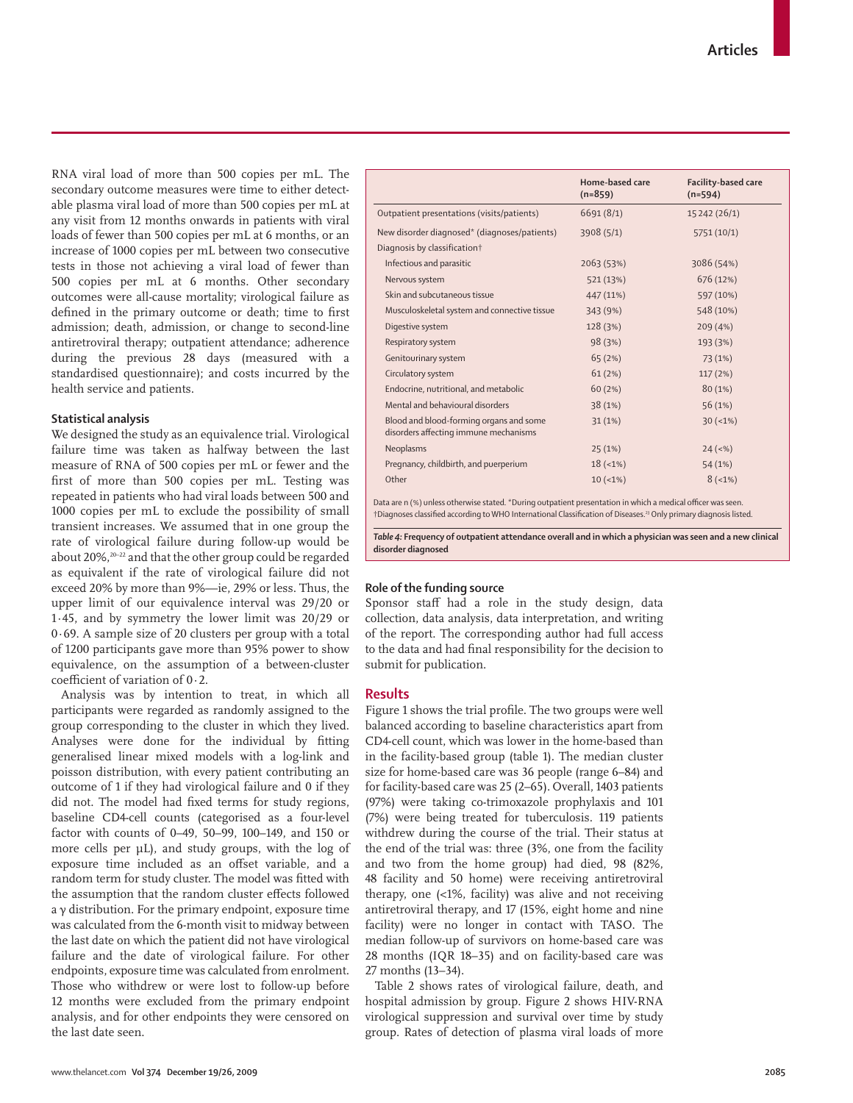RNA viral load of more than 500 copies per mL. The secondary outcome measures were time to either detectable plasma viral load of more than 500 copies per mL at any visit from 12 months onwards in patients with viral loads of fewer than 500 copies per mL at 6 months, or an increase of 1000 copies per mL between two consecutive tests in those not achieving a viral load of fewer than 500 copies per mL at 6 months. Other secondary outcomes were all-cause mortality; virological failure as defined in the primary outcome or death; time to first admission; death, admission, or change to second-line antiretroviral therapy; outpatient attendance; adherence during the previous 28 days (measured with a standardised questionnaire); and costs incurred by the health service and patients.

#### **Statistical analysis**

We designed the study as an equivalence trial. Virological failure time was taken as halfway between the last measure of RNA of 500 copies per mL or fewer and the first of more than 500 copies per mL. Testing was repeated in patients who had viral loads between 500 and 1000 copies per mL to exclude the possibility of small transient increases. We assumed that in one group the rate of virological failure during follow-up would be about 20%,<sup>20-22</sup> and that the other group could be regarded as equivalent if the rate of virological failure did not exceed 20% by more than 9%—ie, 29% or less. Thus, the upper limit of our equivalence interval was 29/20 or 1·45, and by symmetry the lower limit was 20/29 or 0·69. A sample size of 20 clusters per group with a total of 1200 participants gave more than 95% power to show equivalence, on the assumption of a between-cluster coefficient of variation of  $0.2$ .

Analysis was by intention to treat, in which all participants were regarded as randomly assigned to the group corresponding to the cluster in which they lived. Analyses were done for the individual by fitting generalised linear mixed models with a log-link and poisson distribution, with every patient contributing an outcome of 1 if they had virological failure and 0 if they did not. The model had fixed terms for study regions, baseline CD4-cell counts (categorised as a four-level factor with counts of 0–49, 50–99, 100–149, and 150 or more cells per μL), and study groups, with the log of exposure time included as an offset variable, and a random term for study cluster. The model was fitted with the assumption that the random cluster effects followed a  $\gamma$  distribution. For the primary endpoint, exposure time was calculated from the 6-month visit to midway between the last date on which the patient did not have virological failure and the date of virological failure. For other endpoints, exposure time was calculated from enrolment. Those who withdrew or were lost to follow-up before 12 months were excluded from the primary endpoint analysis, and for other endpoints they were censored on the last date seen.

|                                                                                  | Home-based care<br>$(n=859)$ | Facility-based care<br>$(n=594)$ |
|----------------------------------------------------------------------------------|------------------------------|----------------------------------|
| Outpatient presentations (visits/patients)                                       | 6691 (8/1)                   | 15 242 (26/1)                    |
| New disorder diagnosed* (diagnoses/patients)                                     | 3908(5/1)                    | 5751(10/1)                       |
| Diagnosis by classification <sup>†</sup>                                         |                              |                                  |
| Infectious and parasitic                                                         | 2063 (53%)                   | 3086 (54%)                       |
| Nervous system                                                                   | 521 (13%)                    | 676 (12%)                        |
| Skin and subcutaneous tissue                                                     | 447 (11%)                    | 597 (10%)                        |
| Musculoskeletal system and connective tissue                                     | 343 (9%)                     | 548 (10%)                        |
| Digestive system                                                                 | 128 (3%)                     | 209(4%)                          |
| Respiratory system                                                               | 98 (3%)                      | 193 (3%)                         |
| Genitourinary system                                                             | 65(2%)                       | 73 (1%)                          |
| Circulatory system                                                               | 61(2%)                       | 117(2%)                          |
| Endocrine, nutritional, and metabolic                                            | 60(2%)                       | 80(1%)                           |
| Mental and behavioural disorders                                                 | 38(1%)                       | 56 (1%)                          |
| Blood and blood-forming organs and some<br>disorders affecting immune mechanisms | 31(1%)                       | $30 (-1%)$                       |
| Neoplasms                                                                        | 25(1%)                       | 24 (< 96)                        |
| Pregnancy, childbirth, and puerperium                                            | $18 (-1%)$                   | 54 (1%)                          |
| Other                                                                            | $10 (-1%)$                   | $8(-1%)$                         |
|                                                                                  |                              |                                  |

Data are n (%) unless otherwise stated. \*During outpatient presentation in which a medical officer was seen. †Diagnoses classifi ed according to WHO International Classifi cation of Diseases.23 Only primary diagnosis listed.

*Table 4:* **Frequency of outpatient attendance overall and in which a physician was seen and a new clinical disorder diagnosed**

# **Role of the funding source**

Sponsor staff had a role in the study design, data collection, data analysis, data interpretation, and writing of the report. The corresponding author had full access to the data and had final responsibility for the decision to submit for publication.

## **Results**

Figure 1 shows the trial profile. The two groups were well balanced according to baseline characteristics apart from CD4-cell count, which was lower in the home-based than in the facility-based group (table 1). The median cluster size for home-based care was 36 people (range 6–84) and for facility-based care was 25 (2–65). Overall, 1403 patients (97%) were taking co-trimoxazole prophylaxis and 101 (7%) were being treated for tuberculosis. 119 patients withdrew during the course of the trial. Their status at the end of the trial was: three (3%, one from the facility and two from the home group) had died, 98 (82%, 48 facility and 50 home) were receiving antiretroviral therapy, one (<1%, facility) was alive and not receiving antiretroviral therapy, and 17 (15%, eight home and nine facility) were no longer in contact with TASO. The median follow-up of survivors on home-based care was 28 months (IQR 18–35) and on facility-based care was 27 months (13–34).

Table 2 shows rates of virological failure, death, and hospital admission by group. Figure 2 shows HIV-RNA virological suppression and survival over time by study group. Rates of detection of plasma viral loads of more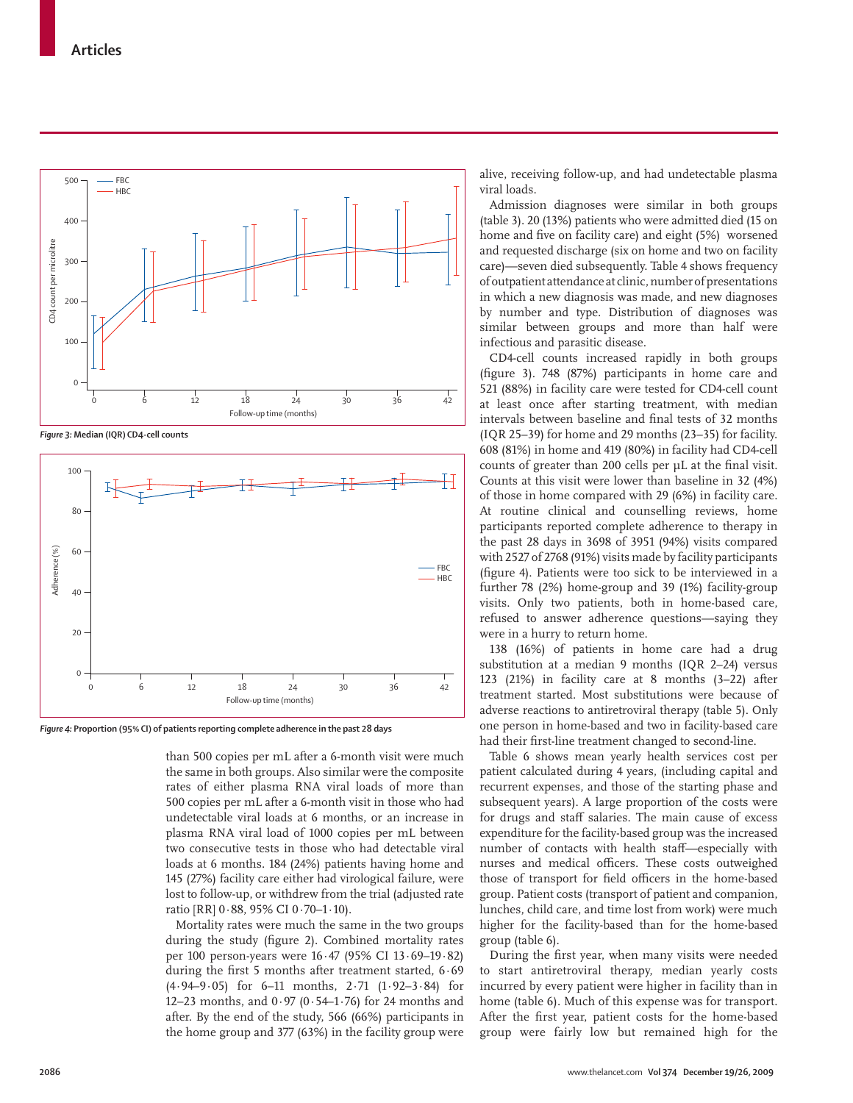

*Figure 3:* **Median (IQR) CD4-cell counts** 



*Figure 4:* **Proportion (95% CI) of patients reporting complete adherence in the past 28 days**

than 500 copies per mL after a 6-month visit were much the same in both groups. Also similar were the composite rates of either plasma RNA viral loads of more than 500 copies per mL after a 6-month visit in those who had undetectable viral loads at 6 months, or an increase in plasma RNA viral load of 1000 copies per mL between two consecutive tests in those who had detectable viral loads at 6 months. 184 (24%) patients having home and 145 (27%) facility care either had virological failure, were lost to follow-up, or withdrew from the trial (adjusted rate ratio [RR] 0·88, 95% CI 0·70–1·10).

Mortality rates were much the same in the two groups during the study (figure 2). Combined mortality rates per 100 person-years were 16·47 (95% CI 13·69–19·82) during the first 5 months after treatment started,  $6.69$ (4·94–9·05) for 6–11 months, 2·71 (1·92–3·84) for 12–23 months, and 0·97 (0·54–1·76) for 24 months and after. By the end of the study, 566 (66%) participants in the home group and 377 (63%) in the facility group were

alive, receiving follow-up, and had undetectable plasma viral loads.

Admission diagnoses were similar in both groups (table 3). 20 (13%) patients who were admitted died (15 on home and five on facility care) and eight (5%) worsened and requested discharge (six on home and two on facility care)—seven died subsequently. Table 4 shows frequency of outpatient attendance at clinic, number of presentations in which a new diagnosis was made, and new diagnoses by number and type. Distribution of diagnoses was similar between groups and more than half were infectious and parasitic disease.

CD4-cell counts increased rapidly in both groups (figure 3). 748 (87%) participants in home care and 521 (88%) in facility care were tested for CD4-cell count at least once after starting treatment, with median intervals between baseline and final tests of 32 months (IQR 25–39) for home and 29 months (23–35) for facility. 608 (81%) in home and 419 (80%) in facility had CD4-cell counts of greater than 200 cells per  $\mu$ L at the final visit. Counts at this visit were lower than baseline in 32 (4%) of those in home compared with 29 (6%) in facility care. At routine clinical and counselling reviews, home participants reported complete adherence to therapy in the past 28 days in 3698 of 3951 (94%) visits compared with 2527 of 2768 (91%) visits made by facility participants (figure 4). Patients were too sick to be interviewed in a further 78 (2%) home-group and 39 (1%) facility-group visits. Only two patients, both in home-based care, refused to answer adherence questions—saying they were in a hurry to return home.

138 (16%) of patients in home care had a drug substitution at a median 9 months (IQR 2–24) versus 123 (21%) in facility care at 8 months (3–22) after treatment started. Most substitutions were because of adverse reactions to antiretroviral therapy (table 5). Only one person in home-based and two in facility-based care had their first-line treatment changed to second-line.

Table 6 shows mean yearly health services cost per patient calculated during 4 years, (including capital and recurrent expenses, and those of the starting phase and subsequent years). A large proportion of the costs were for drugs and staff salaries. The main cause of excess expenditure for the facility-based group was the increased number of contacts with health staff-especially with nurses and medical officers. These costs outweighed those of transport for field officers in the home-based group. Patient costs (transport of patient and companion, lunches, child care, and time lost from work) were much higher for the facility-based than for the home-based group (table 6).

During the first year, when many visits were needed to start antiretroviral therapy, median yearly costs incurred by every patient were higher in facility than in home (table 6). Much of this expense was for transport. After the first year, patient costs for the home-based group were fairly low but remained high for the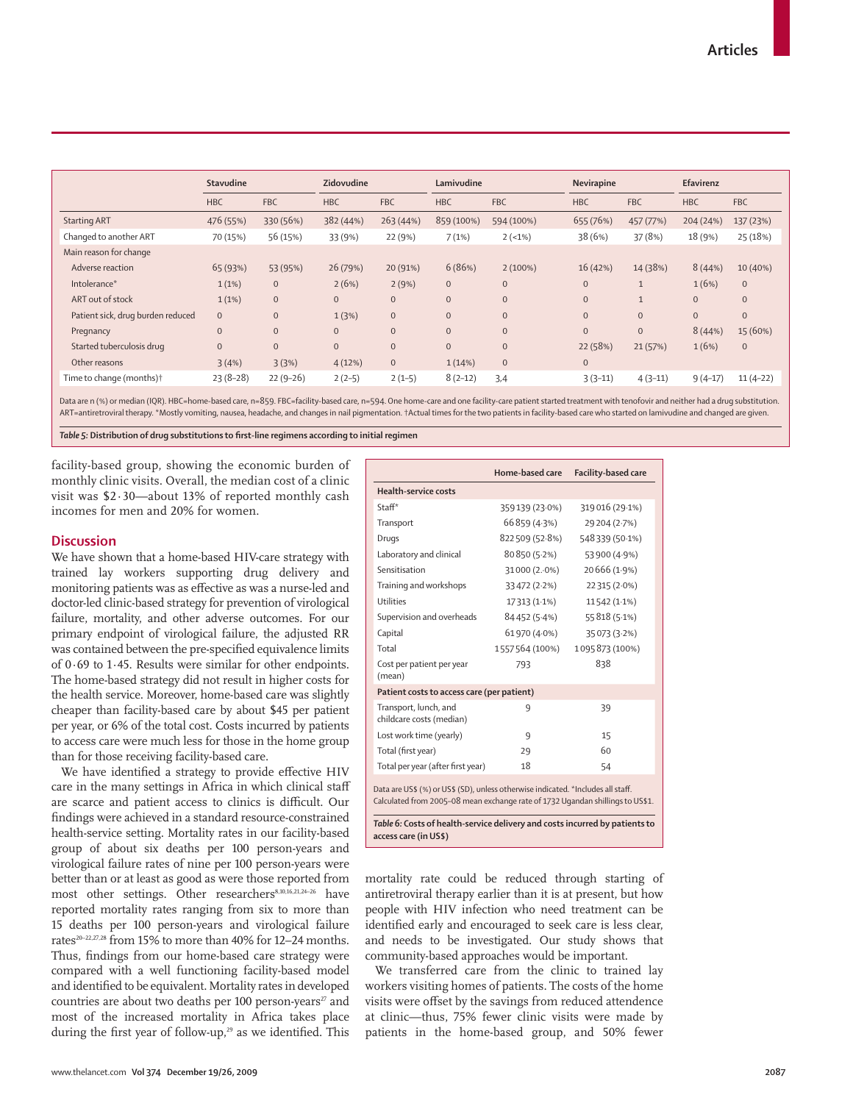|                                      | Stavudine      |                  | Zidovudine   |              | Lamivudine   |              | <b>Nevirapine</b> |              | <b>Efavirenz</b> |              |
|--------------------------------------|----------------|------------------|--------------|--------------|--------------|--------------|-------------------|--------------|------------------|--------------|
|                                      | <b>HBC</b>     | <b>FBC</b>       | <b>HBC</b>   | <b>FBC</b>   | <b>HBC</b>   | <b>FBC</b>   | <b>HBC</b>        | <b>FBC</b>   | <b>HBC</b>       | <b>FBC</b>   |
| <b>Starting ART</b>                  | 476 (55%)      | 330 (56%)        | 382 (44%)    | 263 (44%)    | 859 (100%)   | 594 (100%)   | 655 (76%)         | 457 (77%)    | 204 (24%)        | 137 (23%)    |
| Changed to another ART               | 70 (15%)       | 56 (15%)         | 33 (9%)      | 22 (9%)      | 7(1%)        | $2(-1%)$     | 38 (6%)           | 37 (8%)      | 18 (9%)          | 25 (18%)     |
| Main reason for change               |                |                  |              |              |              |              |                   |              |                  |              |
| Adverse reaction                     | 65 (93%)       | 53 (95%)         | 26 (79%)     | 20 (91%)     | 6(86%)       | 2(100%)      | 16(42%)           | 14 (38%)     | 8(44%)           | 10 (40%)     |
| Intolerance*                         | 1(1%)          | $\mathbf{0}$     | 2(6%)        | 2(9%)        | $\mathbf{0}$ | $\mathbf{0}$ | $\mathbf{0}$      |              | 1(6%)            | $\mathbf{0}$ |
| ART out of stock                     | 1(1%)          | $\boldsymbol{0}$ | $\mathbf{0}$ | $\mathbf{0}$ | $\mathbf{0}$ | $\mathbf{0}$ | $\overline{0}$    |              | $\mathbf{0}$     | $\mathbf{0}$ |
| Patient sick, drug burden reduced    | $\mathbf{O}$   | $\overline{0}$   | 1(3%)        | $\mathbf 0$  | $\mathbf{0}$ | $\mathbf{0}$ | $\overline{0}$    | $\mathbf{0}$ | $\mathbf{0}$     | $\mathbf{0}$ |
| Pregnancy                            | $\mathbf{0}$   | $\mathbf 0$      | $\mathbf{0}$ | $\mathbf{0}$ | $\mathbf{0}$ | $\mathbf{0}$ | $\mathbf{0}$      | $\mathbf{0}$ | 8(44%)           | 15 (60%)     |
| Started tuberculosis drug            | $\overline{0}$ | $\mathbf{0}$     | $\mathbf{0}$ | $\mathbf{0}$ | $\mathbf{0}$ | $\mathbf{0}$ | 22 (58%)          | 21 (57%)     | 1(6%)            | $\mathbf{0}$ |
| Other reasons                        | 3(4%)          | 3(3%)            | 4(12%)       | $\mathbf{0}$ | 1(14%)       | $\mathbf{0}$ | $\mathbf{0}$      |              |                  |              |
| Time to change (months) <sup>+</sup> | $23(8-28)$     | $22(9-26)$       | $2(2-5)$     | $2(1-5)$     | $8(2-12)$    | 3,4          | $3(3-11)$         | $4(3-11)$    | $9(4-17)$        | $11(4-22)$   |

Data are n (%) or median (IQR). HBC=home-based care, n=859. FBC=facility-based care, n=594. One home-care and one facility-care patient started treatment with tenofovir and neither had a drug substitution. ART=antiretroviral therapy. \*Mostly vomiting, nausea, headache, and changes in nail pigmentation. †Actual times for the two patients in facility-based care who started on lamivudine and changed are given.

Table 5: Distribution of drug substitutions to first-line regimens according to initial regimen

facility-based group, showing the economic burden of monthly clinic visits. Overall, the median cost of a clinic visit was \$2·30—about 13% of reported monthly cash incomes for men and 20% for women.

## **Discussion**

We have shown that a home-based HIV-care strategy with trained lay workers supporting drug delivery and monitoring patients was as effective as was a nurse-led and doctor-led clinic-based strategy for prevention of virological failure, mortality, and other adverse outcomes. For our primary endpoint of virological failure, the adjusted RR was contained between the pre-specified equivalence limits of 0·69 to 1·45. Results were similar for other endpoints. The home-based strategy did not result in higher costs for the health service. Moreover, home-based care was slightly cheaper than facility-based care by about \$45 per patient per year, or 6% of the total cost. Costs incurred by patients to access care were much less for those in the home group than for those receiving facility-based care.

We have identified a strategy to provide effective HIV care in the many settings in Africa in which clinical staff are scarce and patient access to clinics is difficult. Our findings were achieved in a standard resource-constrained health-service setting. Mortality rates in our facility-based group of about six deaths per 100 person-years and virological failure rates of nine per 100 person-years were better than or at least as good as were those reported from most other settings. Other researchers<sup>8,10,16,21,24-26</sup> have reported mortality rates ranging from six to more than 15 deaths per 100 person-years and virological failure rates<sup>20-22,27,28</sup> from 15% to more than 40% for 12-24 months. Thus, findings from our home-based care strategy were compared with a well functioning facility-based model and identified to be equivalent. Mortality rates in developed countries are about two deaths per 100 person-years $27$  and most of the increased mortality in Africa takes place during the first year of follow-up,<sup>29</sup> as we identified. This

|                                                                                                                                                                                                                                                    | Home-based care | <b>Facility-based care</b> |  |  |  |  |
|----------------------------------------------------------------------------------------------------------------------------------------------------------------------------------------------------------------------------------------------------|-----------------|----------------------------|--|--|--|--|
| Health-service costs                                                                                                                                                                                                                               |                 |                            |  |  |  |  |
| Staff*                                                                                                                                                                                                                                             | 359 139 (23.0%) | 319016 (29.1%)             |  |  |  |  |
| Transport                                                                                                                                                                                                                                          | 66859 (4.3%)    | 29 204 (2.7%)              |  |  |  |  |
| Drugs                                                                                                                                                                                                                                              | 822 509 (52.8%) | 548 339 (50.1%)            |  |  |  |  |
| Laboratory and clinical                                                                                                                                                                                                                            | 80850 (5.2%)    | 53 900 (4.9%)              |  |  |  |  |
| Sensitisation                                                                                                                                                                                                                                      | $31000(2.0\%)$  | 20666 (1.9%)               |  |  |  |  |
| Training and workshops                                                                                                                                                                                                                             | 33 472 (2.2%)   | 22 315 (2.0%)              |  |  |  |  |
| Utilities                                                                                                                                                                                                                                          | 17313 (1.1%)    | 11542 (1.1%)               |  |  |  |  |
| Supervision and overheads                                                                                                                                                                                                                          | 84452 (5.4%)    | 55 818 (5.1%)              |  |  |  |  |
| Capital                                                                                                                                                                                                                                            | 61970 (4.0%)    | 35073 (3.2%)               |  |  |  |  |
| Total                                                                                                                                                                                                                                              | 1557564 (100%)  | 1095873 (100%)             |  |  |  |  |
| Cost per patient per year<br>(mean)                                                                                                                                                                                                                | 793             | 838                        |  |  |  |  |
| Patient costs to access care (per patient)                                                                                                                                                                                                         |                 |                            |  |  |  |  |
| Transport, lunch, and<br>childcare costs (median)                                                                                                                                                                                                  | 9               | 39                         |  |  |  |  |
| Lost work time (yearly)                                                                                                                                                                                                                            | 9               | 15                         |  |  |  |  |
| Total (first year)                                                                                                                                                                                                                                 | 29              | 60                         |  |  |  |  |
| Total per year (after first year)                                                                                                                                                                                                                  | 18              | 54                         |  |  |  |  |
| Data are US\$ (%) or US\$ (SD), unless otherwise indicated. *Includes all staff.<br>Calculated from 2005-08 mean exchange rate of 1732 Ugandan shillings to US\$1.<br>Table 6: Costs of boalth, convice delivery and costs incurred by nationts to |                 |                            |  |  |  |  |

*Table 6:* **Costs of health-service delivery and costs incurred by patients to access care (in US\$)**

mortality rate could be reduced through starting of antiretroviral therapy earlier than it is at present, but how people with HIV infection who need treatment can be identified early and encouraged to seek care is less clear, and needs to be investigated. Our study shows that community-based approaches would be important.

We transferred care from the clinic to trained lay workers visiting homes of patients. The costs of the home visits were offset by the savings from reduced attendence at clinic—thus, 75% fewer clinic visits were made by patients in the home-based group, and 50% fewer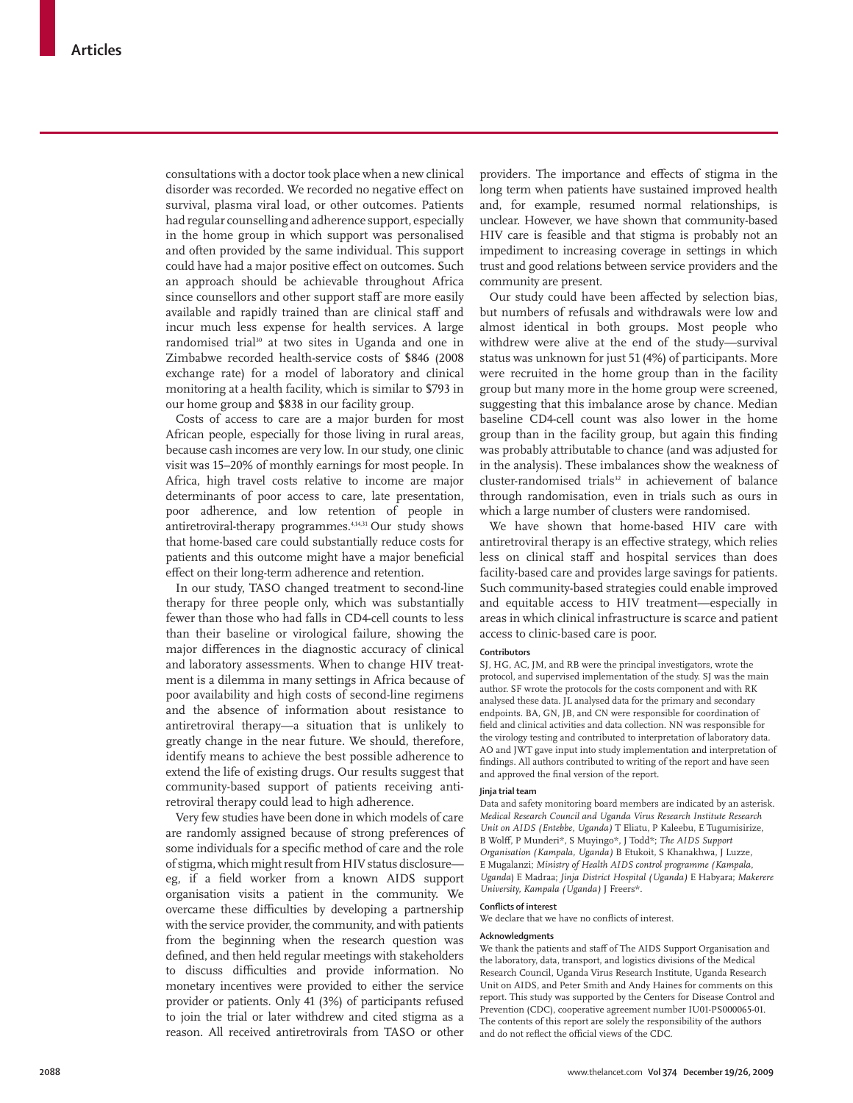consultations with a doctor took place when a new clinical disorder was recorded. We recorded no negative effect on survival, plasma viral load, or other outcomes. Patients had regular counselling and adherence support, especially in the home group in which support was personalised and often provided by the same individual. This support could have had a major positive effect on outcomes. Such an approach should be achievable throughout Africa since counsellors and other support staff are more easily available and rapidly trained than are clinical staff and incur much less expense for health services. A large randomised trial<sup>30</sup> at two sites in Uganda and one in Zimbabwe recorded health-service costs of \$846 (2008 exchange rate) for a model of laboratory and clinical monitoring at a health facility, which is similar to \$793 in our home group and \$838 in our facility group.

Costs of access to care are a major burden for most African people, especially for those living in rural areas, because cash incomes are very low. In our study, one clinic visit was 15–20% of monthly earnings for most people. In Africa, high travel costs relative to income are major determinants of poor access to care, late presentation, poor adherence, and low retention of people in antiretroviral-therapy programmes.<sup>4,14,31</sup> Our study shows that home-based care could substantially reduce costs for patients and this outcome might have a major beneficial effect on their long-term adherence and retention.

In our study, TASO changed treatment to second-line therapy for three people only, which was substantially fewer than those who had falls in CD4-cell counts to less than their baseline or virological failure, showing the major differences in the diagnostic accuracy of clinical and laboratory assessments. When to change HIV treatment is a dilemma in many settings in Africa because of poor availability and high costs of second-line regimens and the absence of information about resistance to antiretroviral therapy—a situation that is unlikely to greatly change in the near future. We should, therefore, identify means to achieve the best possible adherence to extend the life of existing drugs. Our results suggest that community-based support of patients receiving antiretroviral therapy could lead to high adherence.

Very few studies have been done in which models of care are randomly assigned because of strong preferences of some individuals for a specific method of care and the role of stigma, which might result from HIV status disclosure eg, if a field worker from a known AIDS support organisation visits a patient in the community. We overcame these difficulties by developing a partnership with the service provider, the community, and with patients from the beginning when the research question was defined, and then held regular meetings with stakeholders to discuss difficulties and provide information. No monetary incentives were provided to either the service provider or patients. Only 41 (3%) of participants refused to join the trial or later withdrew and cited stigma as a reason. All received antiretrovirals from TASO or other

providers. The importance and effects of stigma in the long term when patients have sustained improved health and, for example, resumed normal relationships, is unclear. However, we have shown that community-based HIV care is feasible and that stigma is probably not an impediment to increasing coverage in settings in which trust and good relations between service providers and the community are present.

Our study could have been affected by selection bias, but numbers of refusals and withdrawals were low and almost identical in both groups. Most people who withdrew were alive at the end of the study—survival status was unknown for just 51 (4%) of participants. More were recruited in the home group than in the facility group but many more in the home group were screened, suggesting that this imbalance arose by chance. Median baseline CD4-cell count was also lower in the home group than in the facility group, but again this finding was probably attributable to chance (and was adjusted for in the analysis). These imbalances show the weakness of cluster-randomised trials<sup>32</sup> in achievement of balance through randomisation, even in trials such as ours in which a large number of clusters were randomised.

We have shown that home-based HIV care with antiretroviral therapy is an effective strategy, which relies less on clinical staff and hospital services than does facility-based care and provides large savings for patients. Such community-based strategies could enable improved and equitable access to HIV treatment—especially in areas in which clinical infrastructure is scarce and patient access to clinic-based care is poor.

#### **Contributors**

SJ, HG, AC, JM, and RB were the principal investigators, wrote the protocol, and supervised implementation of the study. SJ was the main author. SF wrote the protocols for the costs component and with RK analysed these data. JL analysed data for the primary and secondary endpoints. BA, GN, JB, and CN were responsible for coordination of field and clinical activities and data collection. NN was responsible for the virology testing and contributed to interpretation of laboratory data. AO and JWT gave input into study implementation and interpretation of findings. All authors contributed to writing of the report and have seen and approved the final version of the report.

#### **Jinja trial team**

Data and safety monitoring board members are indicated by an asterisk. *Medical Research Council and Uganda Virus Research Institute Research Unit on AIDS (Entebbe, Uganda)* T Eliatu, P Kaleebu, E Tugumisirize, B Wolff , P Munderi\*, S Muyingo\*, J Todd\*; *The AIDS Support Organisation (Kampala, Uganda)* B Etukoit, S Khanakhwa, J Luzze, E Mugalanzi; *Ministry of Health AIDS control programme (Kampala, Uganda*) E Madraa; *Jinja District Hospital (Uganda)* E Habyara; *Makerere University, Kampala (Uganda)* J Freers\*.

#### **Confl icts of interest**

We declare that we have no conflicts of interest.

#### **Acknowledgments**

We thank the patients and staff of The AIDS Support Organisation and the laboratory, data, transport, and logistics divisions of the Medical Research Council, Uganda Virus Research Institute, Uganda Research Unit on AIDS, and Peter Smith and Andy Haines for comments on this report. This study was supported by the Centers for Disease Control and Prevention (CDC), cooperative agreement number IU01-PS000065-01. The contents of this report are solely the responsibility of the authors and do not reflect the official views of the CDC.